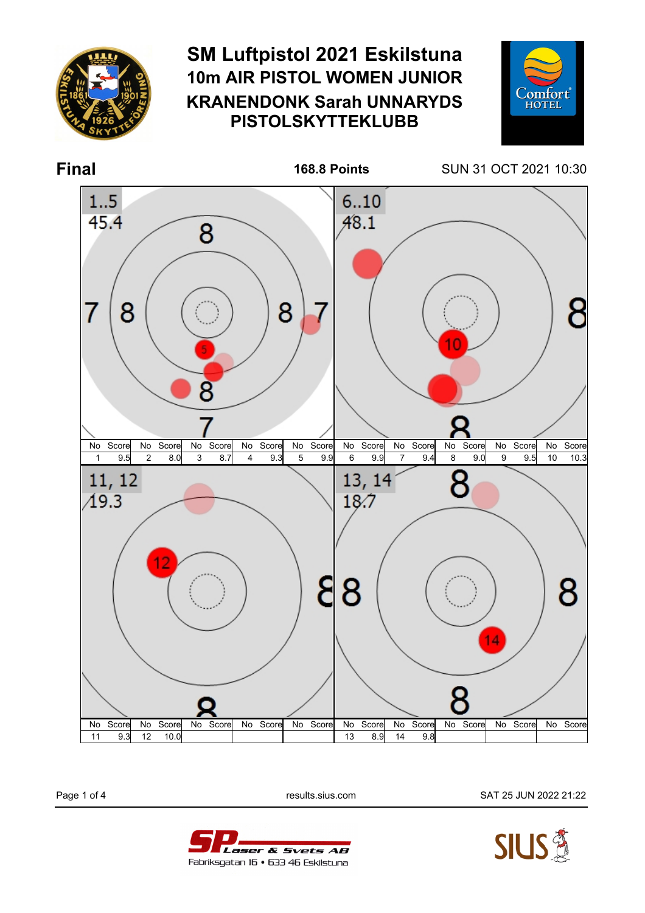

## **SM Luftpistol 2021 Eskilstuna 10m AIR PISTOL WOMEN JUNIOR KRANENDONK Sarah UNNARYDS PISTOLSKYTTEKLUBB**



**Final 168.8 Points** SUN 31 OCT 2021 10:30



Page 1 of 4 **Page 1 of 4** results.sius.com SAT 25 JUN 2022 21:22



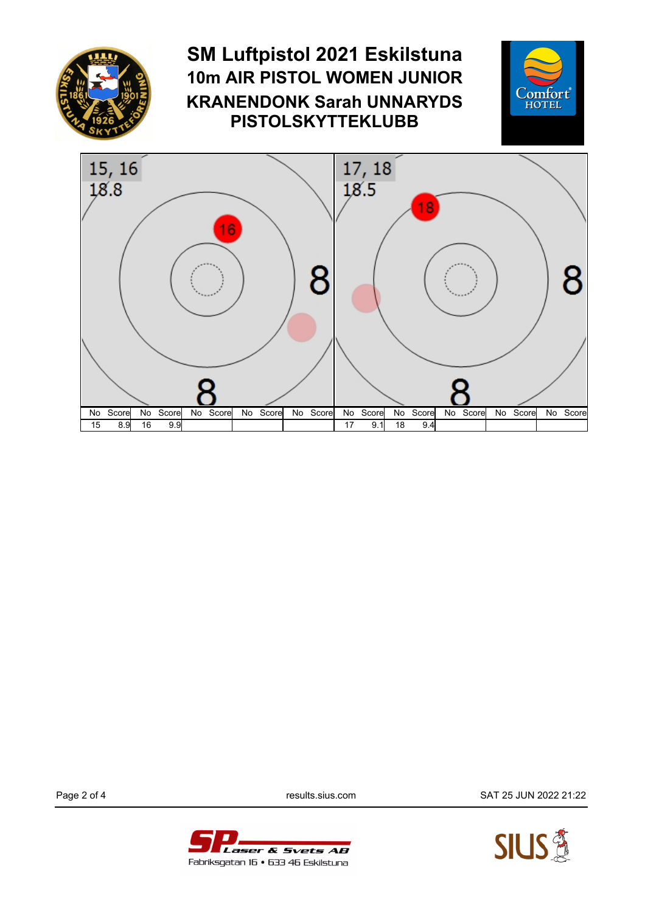

Laser & Svets AB Fabriksgatan 16 • 633 46 Eskilstuna

Page 2 of 4 results.sius.com SAT 25 JUN 2022 21:22

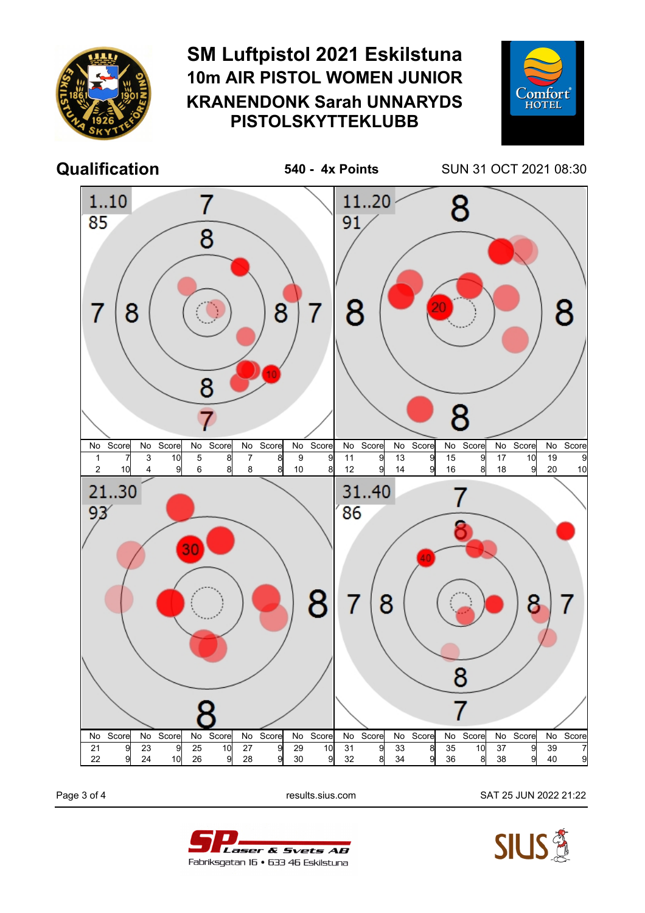

## **SM Luftpistol 2021 Eskilstuna 10m AIR PISTOL WOMEN JUNIOR KRANENDONK Sarah UNNARYDS PISTOLSKYTTEKLUBB**



**Qualification 540 - 4x Points** SUN 31 OCT 2021 08:30



Laser & Svets AB Fabriksgatan 16 • 633 46 Eskilstuna

Page 3 of 4 **Page 3 of 4** results.sius.com SAT 25 JUN 2022 21:22